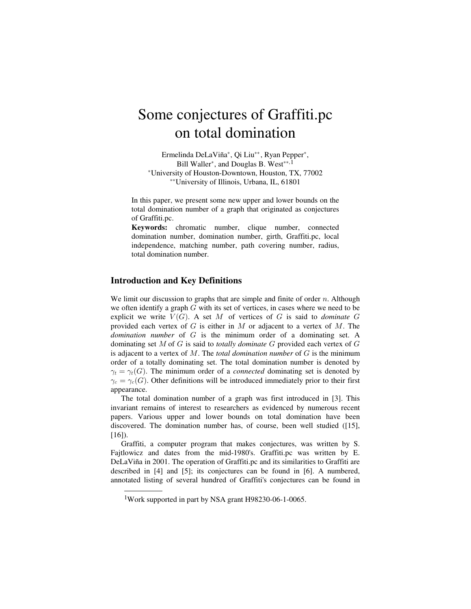# Some conjectures of Graffiti.pc on total domination

Ermelinda DeLaViña<sup>\*</sup>, Qi Liu<sup>\*\*</sup>, Ryan Pepper<sup>\*</sup>, Bill Waller<sup>\*</sup>, and Douglas B. West<sup>\*\*, 1</sup> ‡University of Houston-Downtown, Houston, TX, 77002 ‡‡University of Illinois, Urbana, IL, 61801

In this paper, we present some new upper and lower bounds on the total domination number of a graph that originated as conjectures of Graffiti.pc.

**Keywords:** chromatic number, clique number, connected domination number, domination number, girth, Graffiti.pc, local independence, matching number, path covering number, radius, total domination number.

### **Introduction and Key Definitions**

We limit our discussion to graphs that are simple and finite of order  $n$ . Although we often identify a graph  $G$  with its set of vertices, in cases where we need to be explicit we write  $V(G)$ . A set M of vertices of G is said to *dominate* G provided each vertex of  $G$  is either in  $M$  or adjacent to a vertex of  $M$ . The *domination number* of  $G$  is the minimum order of a dominating set. A dominating set M of G is said to totally dominate G provided each vertex of G is adjacent to a vertex of  $M$ . The *total domination number* of  $G$  is the minimum order of a totally dominating set. The total domination number is denoted by  $\gamma_t = \gamma_t(G)$ . The minimum order of a *connected* dominating set is denoted by  $\gamma_c = \gamma_c(G)$ . Other definitions will be introduced immediately prior to their first appearance.

The total domination number of a graph was first introduced in [3]. This invariant remains of interest to researchers as evidenced by numerous recent papers. Various upper and lower bounds on total domination have been discovered. The domination number has, of course, been well studied ([15], [16]).

Graffiti, a computer program that makes conjectures, was written by S. Fajtlowicz and dates from the mid-1980's. Graffiti.pc was written by E. DeLaViña in 2001. The operation of Graffiti.pc and its similarities to Graffiti are described in [4] and [5]; its conjectures can be found in [6]. A numbered, annotated listing of several hundred of Graffiti's conjectures can be found in

<sup>1</sup>Work supported in part by NSA grant H98230-06-1-0065.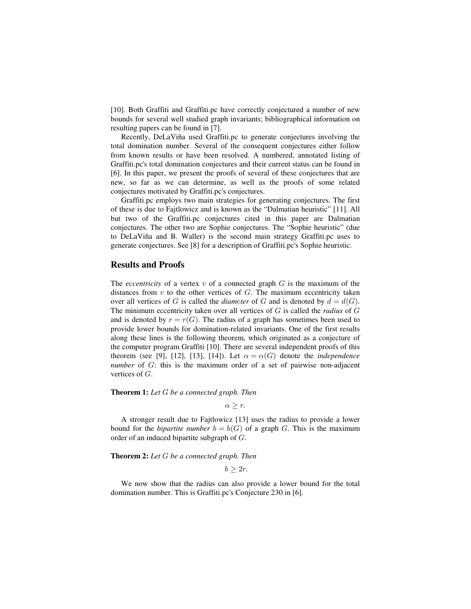[10]. Both Graffiti and Graffiti.pc have correctly conjectured a number of new bounds for several well studied graph invariants; bibliographical information on resulting papers can be found in [7].

Recently, DeLaViña used Graffiti.pc to generate conjectures involving the total domination number. Several of the consequent conjectures either follow from known results or have been resolved. A numbered, annotated listing of Graffiti.pc's total domination conjectures and their current status can be found in [6]. In this paper, we present the proofs of several of these conjectures that are new, so far as we can determine, as well as the proofs of some related conjectures motivated by Graffiti.pc's conjectures.

Graffiti.pc employs two main strategies for generating conjectures. The first of these is due to Fajtlowicz and is known as the "Dalmatian heuristic" [11]. All but two of the Graffiti.pc conjectures cited in this paper are Dalmatian conjectures. The other two are Sophie conjectures. The "Sophie heuristic" (due to DeLaViña and B. Waller) is the second main strategy Graffiti.pc uses to generate conjectures. See [8] for a description of Graffiti.pc's Sophie heuristic.

#### **Results and Proofs**

The *eccentricity* of a vertex  $v$  of a connected graph  $G$  is the maximum of the distances from  $v$  to the other vertices of  $G$ . The maximum eccentricity taken over all vertices of G is called the *diameter* of G and is denoted by  $d = d(G)$ . The minimum eccentricity taken over all vertices of  $G$  is called the *radius* of  $G$ and is denoted by  $r = r(G)$ . The radius of a graph has sometimes been used to provide lower bounds for domination-related invariants. One of the first results along these lines is the following theorem, which originated as a conjecture of the computer program Graffiti [10]. There are several independent proofs of this theorem (see [9], [12], [13], [14]). Let  $\alpha = \alpha(G)$  denote the *independence number* of  $G$ : this is the maximum order of a set of pairwise non-adjacent vertices of  $G$ .

#### **Theorem 1:** Let G be a connected graph. Then

 $\alpha \geq r$ .

A stronger result due to Fajtlowicz [13] uses the radius to provide a lower bound for the *bipartite number*  $b = b(G)$  of a graph G. This is the maximum order of an induced bipartite subgraph of  $G$ .

**Theorem 2:** Let G be a connected graph. Then

 $b > 2r$ .

We now show that the radius can also provide a lower bound for the total domination number. This is Graffiti.pc's Conjecture 230 in [6].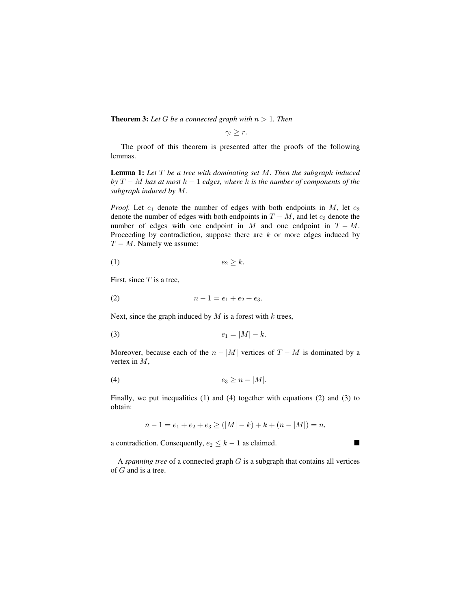**Theorem 3:** Let G be a connected graph with  $n > 1$ . Then

 $\gamma_t > r$ .

The proof of this theorem is presented after the proofs of the following lemmas.

**Lemma 1:** Let  $T$  be a tree with dominating set  $M$ . Then the subgraph induced by  $T-M$  has at most  $k-1$  edges, where k is the number of components of the subgraph induced by  $M$ .

*Proof.* Let  $e_1$  denote the number of edges with both endpoints in M, let  $e_2$ denote the number of edges with both endpoints in  $T - M$ , and let  $e_3$  denote the number of edges with one endpoint in M and one endpoint in  $T - M$ . Proceeding by contradiction, suppose there are  $k$  or more edges induced by  $T - M$ . Namely we assume:

$$
(1) \t\t\t e_2 \ge k
$$

First, since  $T$  is a tree,

$$
(2) \t\t n-1=e_1+e_2+e_3.
$$

Next, since the graph induced by  $M$  is a forest with  $k$  trees,

$$
e_1 = |M| - k.
$$

Moreover, because each of the  $n - |M|$  vertices of  $T - M$  is dominated by a vertex in  $M$ ,

$$
(4) \t\t\t e_3 \ge n - |M|.
$$

Finally, we put inequalities  $(1)$  and  $(4)$  together with equations  $(2)$  and  $(3)$  to obtain:

$$
n-1 = e_1 + e_2 + e_3 \ge (|M| - k) + k + (n - |M|) = n,
$$

a contradiction. Consequently,  $e_2 \leq k - 1$  as claimed.

A spanning tree of a connected graph  $G$  is a subgraph that contains all vertices of  $G$  and is a tree.

 $\blacksquare$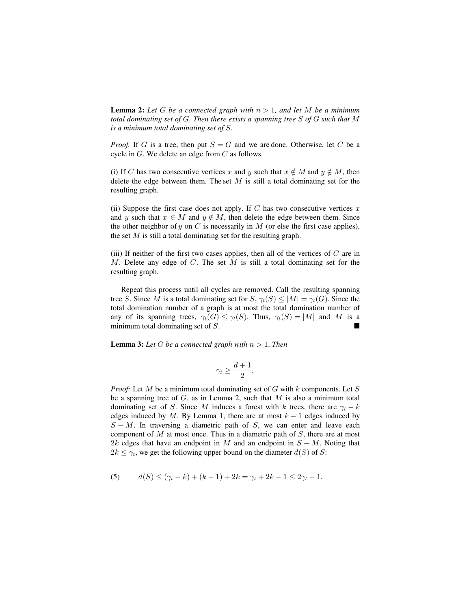**Lemma 2:** Let G be a connected graph with  $n > 1$ , and let M be a minimum *total dominating set of G. Then there exists a spanning tree S of G such that M is a minimum total dominating set of S.* 

*Proof.* If G is a tree, then put  $S = G$  and we are done. Otherwise, let C be a cycle in  $G$ . We delete an edge from  $C$  as follows.

(i) If C has two consecutive vertices x and y such that  $x \notin M$  and  $y \notin M$ , then delete the edge between them. The set  $M$  is still a total dominating set for the resulting graph.

(ii) Suppose the first case does not apply. If  $C$  has two consecutive vertices  $x$ and y such that  $x \in M$  and  $y \notin M$ , then delete the edge between them. Since the other neighbor of y on C is necessarily in  $M$  (or else the first case applies), the set  $M$  is still a total dominating set for the resulting graph.

(iii) If neither of the first two cases applies, then all of the vertices of  $C$  are in  $M$ . Delete any edge of  $C$ . The set  $M$  is still a total dominating set for the resulting graph.

Repeat this process until all cycles are removed. Call the resulting spanning tree S. Since M is a total dominating set for  $S$ ,  $\gamma_t(S) \leq |M| = \gamma_t(G)$ . Since the total domination number of a graph is at most the total domination number of any of its spanning trees,  $\gamma_t(G) \leq \gamma_t(S)$ . Thus,  $\gamma_t(S) = |M|$  and M is a minimum total dominating set of  $S$ .

**Lemma 3:** Let G be a connected graph with  $n > 1$ . Then

$$
\gamma_t \geq \frac{d+1}{2}.
$$

*Proof:* Let  $M$  be a minimum total dominating set of  $G$  with  $k$  components. Let  $S$ be a spanning tree of  $G$ , as in Lemma 2, such that  $M$  is also a minimum total dominating set of S. Since M induces a forest with k trees, there are  $\gamma_t - k$ edges induced by M. By Lemma 1, there are at most  $k-1$  edges induced by  $S-M$ . In traversing a diametric path of S, we can enter and leave each component of  $M$  at most once. Thus in a diametric path of  $S$ , there are at most 2k edges that have an endpoint in M and an endpoint in  $S - M$ . Noting that  $2k \leq \gamma_t$ , we get the following upper bound on the diameter  $d(S)$  of S:

(5) 
$$
d(S) \le (\gamma_t - k) + (k - 1) + 2k = \gamma_t + 2k - 1 \le 2\gamma_t - 1.
$$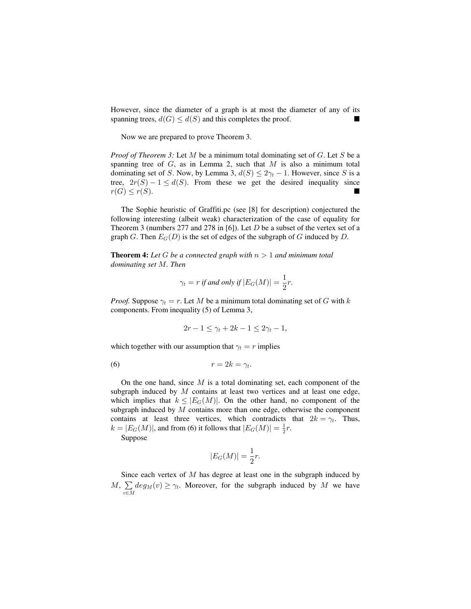However, since the diameter of a graph is at most the diameter of any of its spanning trees,  $d(G) \leq d(S)$  and this completes the proof.

Now we are prepared to prove Theorem 3.

*Proof of Theorem 3:* Let  $M$  be a minimum total dominating set of  $G$ . Let  $S$  be a spanning tree of  $G$ , as in Lemma 2, such that  $M$  is also a minimum total dominating set of S. Now, by Lemma 3,  $d(S) \leq 2\gamma_t - 1$ . However, since S is a tree,  $2r(S) - 1 \leq d(S)$ . From these we get the desired inequality since  $r(G) \leq r(S)$ .

The Sophie heuristic of Graffiti.pc (see [8] for description) conjectured the following interesting (albeit weak) characterization of the case of equality for Theorem 3 (numbers 277 and 278 in [6]). Let  $D$  be a subset of the vertex set of a graph  $G$ . Then  $E_G(D)$  is the set of edges of the subgraph of  $G$  induced by  $D$ .

**Theorem 4:** Let G be a connected graph with  $n > 1$  and minimum total dominating set  $M$ . Then

$$
\gamma_t = r \text{ if and only if } |E_G(M)| = \frac{1}{2}r
$$

*Proof.* Suppose  $\gamma_t = r$ . Let M be a minimum total dominating set of G with k components. From inequality (5) of Lemma 3,

$$
2r-1 \leq \gamma_t + 2k - 1 \leq 2\gamma_t - 1,
$$

which together with our assumption that  $\gamma_t = r$  implies

$$
(6) \t\t\t r = 2k = \gamma_t.
$$

On the one hand, since  $M$  is a total dominating set, each component of the subgraph induced by  $M$  contains at least two vertices and at least one edge, which implies that  $k \leq |E_G(M)|$ . On the other hand, no component of the subgraph induced by  $M$  contains more than one edge, otherwise the component contains at least three vertices, which contradicts that  $2k = \gamma_t$ . Thus,  $k = |E_G(M)|$ , and from (6) it follows that  $|E_G(M)| = \frac{1}{2}r$ .

Suppose

$$
|E_G(M)| = \frac{1}{2}r.
$$

Since each vertex of  $M$  has degree at least one in the subgraph induced by M,  $\sum_{v \in M} deg_M(v) \ge \gamma_t$ . Moreover, for the subgraph induced by M we have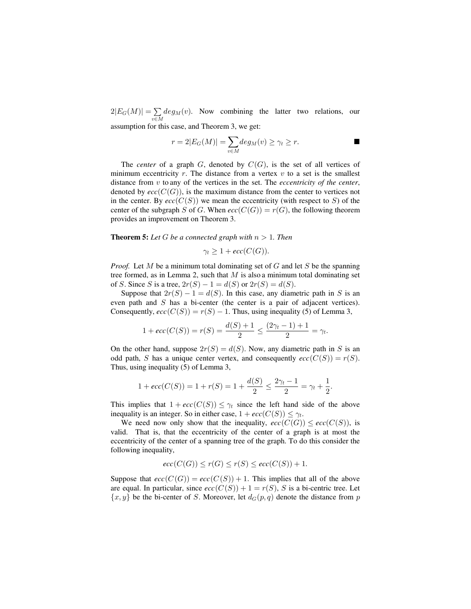$2|E_G(M)| = \sum_{v \in M} deg_M(v)$  $\sum deg_M(v)$ . Now combining the latter two relations, our

assumption for this case, and Theorem 3, we get:

$$
r = 2|E_G(M)| = \sum_{v \in M} deg_M(v) \ge \gamma_t \ge r.
$$

The *center* of a graph  $G$ , denoted by  $C(G)$ , is the set of all vertices of minimum eccentricity  $r$ . The distance from a vertex  $v$  to a set is the smallest distance from  $v$  to any of the vertices in the set. The *eccentricity of the center*, denoted by  $ecc(C(G))$ , is the maximum distance from the center to vertices not in the center. By  $ecc(C(S))$  we mean the eccentricity (with respect to S) of the center of the subgraph S of G. When  $ecc(C(G)) = r(G)$ , the following theorem provides an improvement on Theorem 3.

**Theorem 5:** Let G be a connected graph with  $n > 1$ . Then

$$
\gamma_t \geq 1 + \textit{ecc}(C(G)).
$$

*Proof.* Let  $M$  be a minimum total dominating set of  $G$  and let  $S$  be the spanning tree formed, as in Lemma 2, such that  $M$  is also a minimum total dominating set of S. Since S is a tree,  $2r(S) - 1 = d(S)$  or  $2r(S) = d(S)$ .

Suppose that  $2r(S) - 1 = d(S)$ . In this case, any diametric path in S is an even path and  $S$  has a bi-center (the center is a pair of adjacent vertices). Consequently,  $ecc(C(S)) = r(S) - 1$ . Thus, using inequality (5) of Lemma 3,

$$
1 + ecc(C(S)) = r(S) = \frac{d(S) + 1}{2} \le \frac{(2\gamma_t - 1) + 1}{2} = \gamma_t.
$$

On the other hand, suppose  $2r(S) = d(S)$ . Now, any diametric path in S is an odd path, S has a unique center vertex, and consequently  $ecc(C(S)) = r(S)$ . Thus, using inequality  $(5)$  of Lemma 3,

$$
1 + \textit{ecc}(C(S)) = 1 + r(S) = 1 + \frac{d(S)}{2} \le \frac{2\gamma_t - 1}{2} = \gamma_t + \frac{1}{2}.
$$

This implies that  $1 + \text{ecc}(C(S)) \leq \gamma_t$  since the left hand side of the above inequality is an integer. So in either case,  $1 + \textit{ecc}(C(S)) \leq \gamma_t$ .

We need now only show that the inequality,  $\operatorname{ecc}(C(G)) \leq \operatorname{ecc}(C(S))$ , is valid. That is, that the eccentricity of the center of a graph is at most the eccentricity of the center of a spanning tree of the graph. To do this consider the following inequality,

$$
ecc(C(G)) \le r(G) \le r(S) \le ecc(C(S)) + 1.
$$

Suppose that  $ecc(C(G)) = ecc(C(S)) + 1$ . This implies that all of the above are equal. In particular, since  $ecc(C(S)) + 1 = r(S)$ , S is a bi-centric tree. Let  $\{x, y\}$  be the bi-center of S. Moreover, let  $d_G(p, q)$  denote the distance from p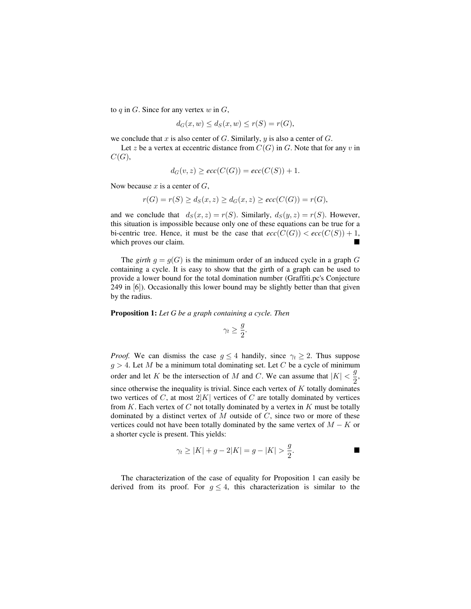to  $q$  in  $G$ . Since for any vertex  $w$  in  $G$ ,

$$
d_G(x, w) \le d_S(x, w) \le r(S) = r(G),
$$

we conclude that  $x$  is also center of  $G$ . Similarly,  $y$  is also a center of  $G$ .

Let z be a vertex at eccentric distance from  $C(G)$  in G. Note that for any v in  $C(G),$ 

$$
d_G(v, z) \geq ecc(C(G)) = ecc(C(S)) + 1.
$$

Now because  $x$  is a center of  $G$ ,

$$
r(G) = r(S) \ge d_S(x, z) \ge d_G(x, z) \ge ecc(C(G)) = r(G),
$$

and we conclude that  $d_S(x, z) = r(S)$ . Similarly,  $d_S(y, z) = r(S)$ . However, this situation is impossible because only one of these equations can be true for a bi-centric tree. Hence, it must be the case that  $\operatorname{ecc}(C(G)) < \operatorname{ecc}(C(S)) + 1$ , which proves our claim.

The girth  $g = g(G)$  is the minimum order of an induced cycle in a graph G containing a cycle. It is easy to show that the girth of a graph can be used to provide a lower bound for the total domination number (Graffiti.pc's Conjecture  $249$  in  $[6]$ ). Occasionally this lower bound may be slightly better than that given by the radius.

**Proposition 1:** *Let G be a graph containing a cycle. Then*

$$
\gamma_t \geq \frac{g}{2}.
$$

*Proof.* We can dismiss the case  $q \leq 4$  handily, since  $\gamma_t \geq 2$ . Thus suppose  $g > 4$ . Let M be a minimum total dominating set. Let C be a cycle of minimum order and let K be the intersection of M and C. We can assume that  $|K| < \frac{g}{2}$ , since otherwise the inequality is trivial. Since each vertex of  $K$  totally dominates two vertices of C, at most  $2|K|$  vertices of C are totally dominated by vertices from  $K$ . Each vertex of  $C$  not totally dominated by a vertex in  $K$  must be totally dominated by a distinct vertex of  $M$  outside of  $C$ , since two or more of these vertices could not have been totally dominated by the same vertex of  $M - K$  or a shorter cycle is present. This yields:

$$
\gamma_t \ge |K| + g - 2|K| = g - |K| > \frac{g}{2}.
$$

The characterization of the case of equality for Proposition 1 can easily be derived from its proof. For  $g \leq 4$ , this characterization is similar to the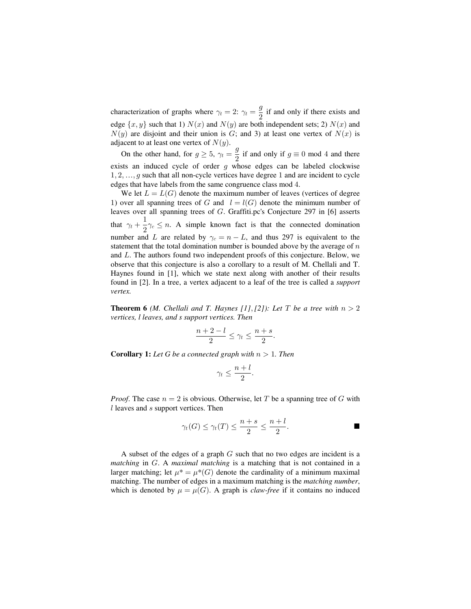characterization of graphs where  $\gamma_t = 2$ :  $\gamma_t = \frac{g}{2}$  if and only if there exists and edge  $\{x, y\}$  such that 1)  $N(x)$  and  $N(y)$  are both independent sets; 2)  $N(x)$  and  $N(y)$  are disjoint and their union is G; and 3) at least one vertex of  $N(x)$  is adjacent to at least one vertex of  $N(y)$ .

On the other hand, for  $g \ge 5$ ,  $\gamma_t = \frac{g}{2}$  if and only if  $g \equiv 0$  mod 4 and there exists an induced cycle of order  $g$  whose edges can be labeled clockwise  $1, 2, \ldots, g$  such that all non-cycle vertices have degree 1 and are incident to cycle edges that have labels from the same congruence class mod 4.

We let  $L = L(G)$  denote the maximum number of leaves (vertices of degree 1) over all spanning trees of G and  $l = l(G)$  denote the minimum number of leaves over all spanning trees of  $G$ . Graffiti.pc's Conjecture 297 in [6] asserts that  $\gamma_t + \frac{1}{2}\gamma_c \le n$ . A simple known fact is that the connected domination number and L are related by  $\gamma_c = n - L$ , and thus 297 is equivalent to the statement that the total domination number is bounded above by the average of  $n$ and  $L$ . The authors found two independent proofs of this conjecture. Below, we observe that this conjecture is also a corollary to a result of M. Chellali and T. Haynes found in [1], which we state next along with another of their results found in [2]. In a tree, a vertex adjacent to a leaf of the tree is called a *support vertex.*

**Theorem 6** *(M. Chellali and T. Haynes [1], [2]): Let T be a tree with*  $n > 2$ *vertices, l leaves, and s support vertices. Then*

$$
\frac{n+2-l}{2} \leq \gamma_t \leq \frac{n+s}{2}.
$$

**Corollary 1:** Let G be a connected graph with  $n > 1$ . Then

$$
\gamma_t \leq \frac{n+l}{2}.
$$

*Proof.* The case  $n = 2$  is obvious. Otherwise, let T be a spanning tree of G with  $l$  leaves and s support vertices. Then

$$
\gamma_t(G) \le \gamma_t(T) \le \frac{n+s}{2} \le \frac{n+l}{2}.
$$

A subset of the edges of a graph  $G$  such that no two edges are incident is a *matching* in G. A *maximal matching* is a matching that is not contained in a larger matching; let  $\mu^* = \mu^*(G)$  denote the cardinality of a minimum maximal matching. The number of edges in a maximum matching is the *matching number*, which is denoted by  $\mu = \mu(G)$ . A graph is *claw-free* if it contains no induced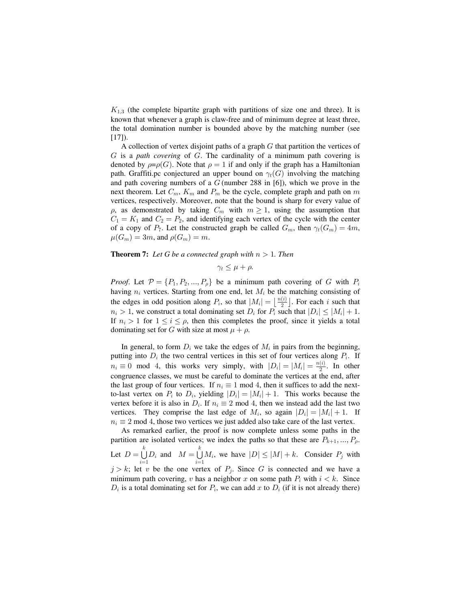$K_{1,3}$  (the complete bipartite graph with partitions of size one and three). It is known that whenever a graph is claw-free and of minimum degree at least three, the total domination number is bounded above by the matching number (see  $[17]$ .

A collection of vertex disjoint paths of a graph  $G$  that partition the vertices of  $G$  is a path covering of  $G$ . The cardinality of a minimum path covering is denoted by  $\rho = \rho(G)$ . Note that  $\rho = 1$  if and only if the graph has a Hamiltonian path. Graffiti.pc conjectured an upper bound on  $\gamma_t(G)$  involving the matching and path covering numbers of a  $G$  (number 288 in [6]), which we prove in the next theorem. Let  $C_m$ ,  $K_m$  and  $P_m$  be the cycle, complete graph and path on m vertices, respectively. Moreover, note that the bound is sharp for every value of  $\rho$ , as demonstrated by taking  $C_m$  with  $m \ge 1$ , using the assumption that  $C_1 = K_1$  and  $C_2 = P_2$ , and identifying each vertex of the cycle with the center of a copy of  $P_7$ . Let the constructed graph be called  $G_m$ , then  $\gamma_t(G_m) = 4m$ ,  $\mu(G_m) = 3m$ , and  $\rho(G_m) = m$ .

#### **Theorem 7:** Let G be a connected graph with  $n > 1$ . Then

$$
\gamma_t \leq \mu + \rho.
$$

*Proof.* Let  $P = \{P_1, P_2, ..., P_p\}$  be a minimum path covering of G with  $P_i$ having  $n_i$  vertices. Starting from one end, let  $M_i$  be the matching consisting of the edges in odd position along  $P_i$ , so that  $|M_i| = \lfloor \frac{n(i)}{2} \rfloor$ . For each i such that  $n_i > 1$ , we construct a total dominating set  $D_i$  for  $P_i$  such that  $|D_i| \leq |M_i| + 1$ . If  $n_i > 1$  for  $1 \le i \le \rho$ , then this completes the proof, since it yields a total dominating set for G with size at most  $\mu + \rho$ .

In general, to form  $D_i$  we take the edges of  $M_i$  in pairs from the beginning, putting into  $D_i$  the two central vertices in this set of four vertices along  $P_i$ . If  $n_i \equiv 0 \mod 4$ , this works very simply, with  $|D_i| = |M_i| = \frac{n(i)}{2}$ . In other congruence classes, we must be careful to dominate the vertices at the end, after the last group of four vertices. If  $n_i \equiv 1 \mod 4$ , then it suffices to add the nextto-last vertex on  $P_i$  to  $D_i$ , yielding  $|D_i| = |M_i| + 1$ . This works because the vertex before it is also in  $D_i$ . If  $n_i \equiv 2 \mod 4$ , then we instead add the last two vertices. They comprise the last edge of  $M_i$ , so again  $|D_i| = |M_i| + 1$ . If  $n_i \equiv 2 \mod 4$ , those two vertices we just added also take care of the last vertex.

As remarked earlier, the proof is now complete unless some paths in the partition are isolated vertices; we index the paths so that these are  $P_{k+1},...,P_{\rho}$ . Let  $D = \bigcup_{i=1}^{k} D_i$  and  $M = \bigcup_{i=1}^{k} M_i$ , we have  $|D| \leq |M| + k$ . Consider  $P_j$  with  $j > k$ ; let v be the one vertex of  $P_j$ . Since G is connected and we have a minimum path covering, v has a neighbor x on some path  $P_i$  with  $i < k$ . Since  $D_i$  is a total dominating set for  $P_i$ , we can add x to  $D_i$  (if it is not already there)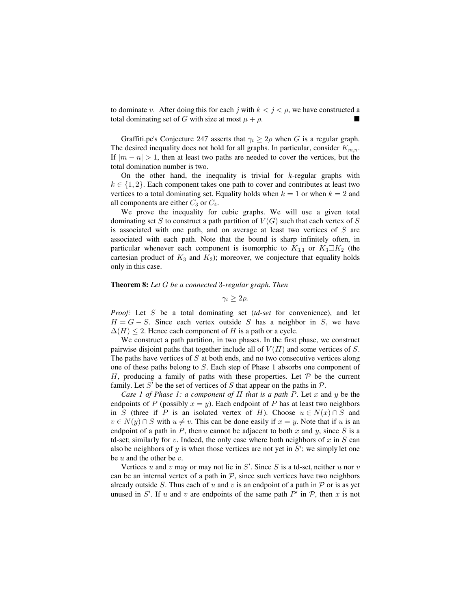to dominate v. After doing this for each j with  $k < j < \rho$ , we have constructed a total dominating set of G with size at most  $\mu + \rho$ .

Graffiti.pc's Conjecture 247 asserts that  $\gamma_t \geq 2\rho$  when G is a regular graph. The desired inequality does not hold for all graphs. In particular, consider  $K_{m,n}$ . If  $|m - n| > 1$ , then at least two paths are needed to cover the vertices, but the total domination number is two.

On the other hand, the inequality is trivial for  $k$ -regular graphs with  $k \in \{1, 2\}$ . Each component takes one path to cover and contributes at least two vertices to a total dominating set. Equality holds when  $k = 1$  or when  $k = 2$  and all components are either  $C_3$  or  $C_4$ .

We prove the inequality for cubic graphs. We will use a given total dominating set S to construct a path partition of  $V(G)$  such that each vertex of S is associated with one path, and on average at least two vertices of  $S$  are associated with each path. Note that the bound is sharp infinitely often, in particular whenever each component is isomorphic to  $K_{3,3}$  or  $K_3 \square K_2$  (the cartesian product of  $K_3$  and  $K_2$ ); moreover, we conjecture that equality holds only in this case.

#### **Theorem 8:** Let G be a connected 3-regular graph. Then

 $\gamma_t > 2\rho$ .

*Proof:* Let S be a total dominating set (td-set for convenience), and let  $H = G - S$ . Since each vertex outside S has a neighbor in S, we have  $\Delta(H)$  < 2. Hence each component of H is a path or a cycle.

We construct a path partition, in two phases. In the first phase, we construct pairwise disjoint paths that together include all of  $V(H)$  and some vertices of S. The paths have vertices of  $S$  at both ends, and no two consecutive vertices along one of these paths belong to  $S$ . Each step of Phase 1 absorbs one component of H, producing a family of paths with these properties. Let  $P$  be the current family. Let S' be the set of vertices of S that appear on the paths in  $P$ .

*Case 1 of Phase 1: a component of H that is a path P.* Let  $x$  and  $y$  be the endpoints of P (possibly  $x = y$ ). Each endpoint of P has at least two neighbors in S (three if P is an isolated vertex of H). Choose  $u \in N(x) \cap S$  and  $v \in N(y) \cap S$  with  $u \neq v$ . This can be done easily if  $x = y$ . Note that if u is an endpoint of a path in  $P$ , then  $u$  cannot be adjacent to both  $x$  and  $y$ , since  $S$  is a td-set; similarly for  $v$ . Indeed, the only case where both neighbors of  $x$  in  $S$  can also be neighbors of y is when those vertices are not yet in  $S'$ ; we simply let one be  $u$  and the other be  $v$ .

Vertices u and v may or may not lie in  $S'$ . Since S is a td-set, neither u nor v can be an internal vertex of a path in  $P$ , since such vertices have two neighbors already outside S. Thus each of u and v is an endpoint of a path in  $P$  or is as yet unused in  $S'$ . If u and v are endpoints of the same path  $P'$  in  $P$ , then x is not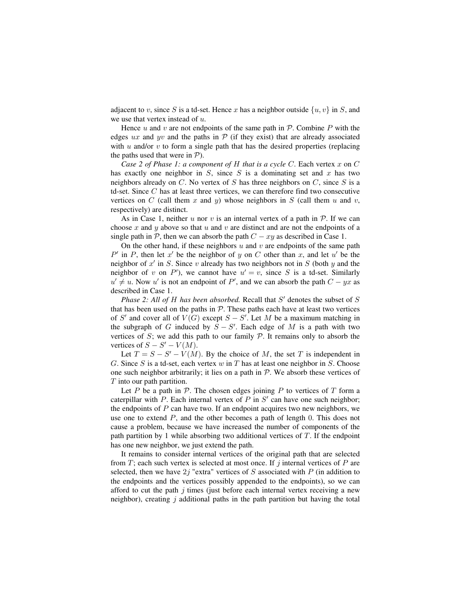adjacent to v, since S is a td-set. Hence x has a neighbor outside  $\{u, v\}$  in S, and we use that vertex instead of  $u$ .

Hence u and v are not endpoints of the same path in  $P$ . Combine P with the edges ux and yv and the paths in  $\mathcal P$  (if they exist) that are already associated with  $u$  and/or  $v$  to form a single path that has the desired properties (replacing the paths used that were in  $P$ ).

*Case 2 of Phase 1: a component of H that is a cycle C.* Each vertex  $x$  on  $C$ has exactly one neighbor in  $S$ , since  $S$  is a dominating set and  $x$  has two neighbors already on C. No vertex of S has three neighbors on C, since S is a td-set. Since  $C$  has at least three vertices, we can therefore find two consecutive vertices on C (call them x and y) whose neighbors in S (call them u and v, respectively) are distinct.

As in Case 1, neither u nor v is an internal vertex of a path in  $P$ . If we can choose x and y above so that u and v are distinct and are not the endpoints of a single path in  $P$ , then we can absorb the path  $C - xy$  as described in Case 1.

On the other hand, if these neighbors  $u$  and  $v$  are end points of the same path  $P'$  in P, then let  $x'$  be the neighbor of y on C other than x, and let u' be the neighbor of x' in S. Since v already has two neighbors not in S (both y and the neighbor of v on P'), we cannot have  $u' = v$ , since S is a td-set. Similarly  $u' \neq u$ . Now u' is not an endpoint of P', and we can absorb the path  $C - yx$  as described in Case 1.

*Phase 2: All of H has been absorbed.* Recall that  $S'$  denotes the subset of  $S$ that has been used on the paths in  $P$ . These paths each have at least two vertices of S' and cover all of  $V(G)$  except  $S - S'$ . Let M be a maximum matching in the subgraph of G induced by  $S - S'$ . Each edge of M is a path with two vertices of  $S$ ; we add this path to our family  $P$ . It remains only to absorb the vertices of  $S - S' - V(M)$ .

Let  $T = S - S' - V(M)$ . By the choice of M, the set T is independent in G. Since S is a td-set, each vertex  $w$  in  $T$  has at least one neighbor in S. Choose one such neighbor arbitrarily; it lies on a path in  $P$ . We absorb these vertices of  $T$  into our path partition.

Let P be a path in  $P$ . The chosen edges joining P to vertices of T form a caterpillar with P. Each internal vertex of P in  $S'$  can have one such neighbor; the endpoints of  $P$  can have two. If an endpoint acquires two new neighbors, we use one to extend  $P$ , and the other becomes a path of length 0. This does not cause a problem, because we have increased the number of components of the path partition by 1 while absorbing two additional vertices of  $T$ . If the endpoint has one new neighbor, we just extend the path.

It remains to consider internal vertices of the original path that are selected from T; each such vertex is selected at most once. If j internal vertices of P are selected, then we have  $2j$  "extra" vertices of S associated with P (in addition to the endpoints and the vertices possibly appended to the endpoints), so we can afford to cut the path  $j$  times (just before each internal vertex receiving a new neighbor), creating  $j$  additional paths in the path partition but having the total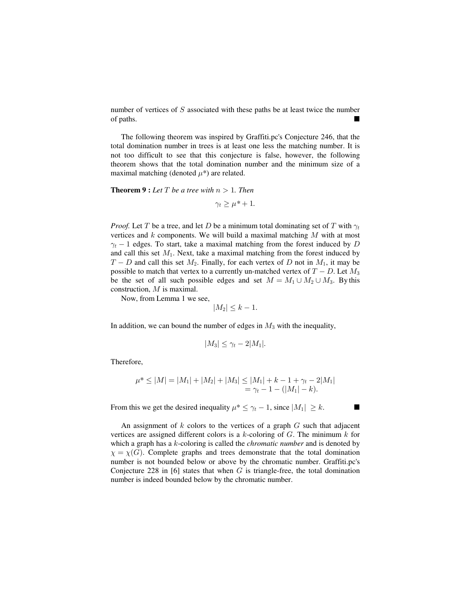number of vertices of  $S$  associated with these paths be at least twice the number of paths.

The following theorem was inspired by Graffiti.pc's Conjecture 246, that the total domination number in trees is at least one less the matching number. It is not too difficult to see that this conjecture is false, however, the following theorem shows that the total domination number and the minimum size of a maximal matching (denoted  $\mu^*$ ) are related.

**Theorem 9 :** Let  $T$  be a tree with  $n > 1$ . Then

$$
\gamma_t \geq \mu^* + 1.
$$

*Proof.* Let T be a tree, and let D be a minimum total dominating set of T with  $\gamma_t$ vertices and  $k$  components. We will build a maximal matching  $M$  with at most  $\gamma_t$  – 1 edges. To start, take a maximal matching from the forest induced by D and call this set  $M_1$ . Next, take a maximal matching from the forest induced by  $T - D$  and call this set  $M_2$ . Finally, for each vertex of D not in  $M_1$ , it may be possible to match that vertex to a currently un-matched vertex of  $T - D$ . Let  $M_3$ be the set of all such possible edges and set  $M = M_1 \cup M_2 \cup M_3$ . By this construction,  $M$  is maximal.

Now, from Lemma 1 we see,

$$
|M_2| \leq k - 1.
$$

In addition, we can bound the number of edges in  $M_3$  with the inequality,

$$
|M_3| \leq \gamma_t - 2|M_1|.
$$

Therefore,

$$
\mu^* \le |M| = |M_1| + |M_2| + |M_3| \le |M_1| + k - 1 + \gamma_t - 2|M_1|
$$
  
=  $\gamma_t - 1 - (|M_1| - k).$ 

From this we get the desired inequality  $\mu^* \leq \gamma_t - 1$ , since  $|M_1| \geq k$ .

An assignment of  $k$  colors to the vertices of a graph  $G$  such that adjacent vertices are assigned different colors is a  $k$ -coloring of  $G$ . The minimum  $k$  for which a graph has a  $k$ -coloring is called the *chromatic number* and is denoted by  $\chi = \chi(G)$ . Complete graphs and trees demonstrate that the total domination number is not bounded below or above by the chromatic number. Graffiti.pc's Conjecture 228 in [6] states that when  $G$  is triangle-free, the total domination number is indeed bounded below by the chromatic number.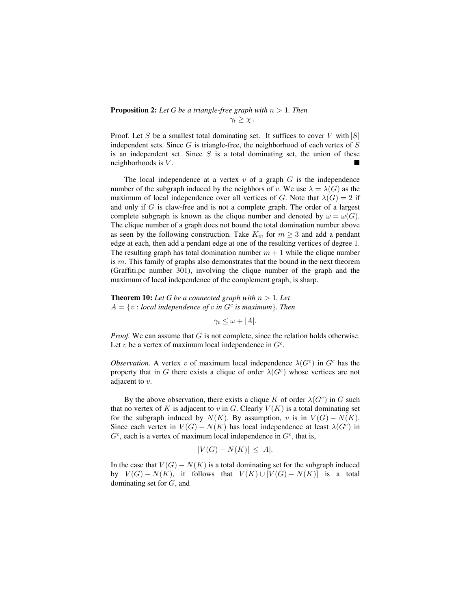### **Proposition 2:** Let G be a triangle-free graph with  $n > 1$ . Then  $\gamma_t > \chi$ .

Proof. Let S be a smallest total dominating set. It suffices to cover V with  $|S|$ independent sets. Since  $G$  is triangle-free, the neighborhood of each vertex of  $S$ is an independent set. Since  $S$  is a total dominating set, the union of these neighborhoods is  $V$ .

The local independence at a vertex  $v$  of a graph  $G$  is the independence number of the subgraph induced by the neighbors of v. We use  $\lambda = \lambda(G)$  as the maximum of local independence over all vertices of G. Note that  $\lambda(G) = 2$  if and only if  $G$  is claw-free and is not a complete graph. The order of a largest complete subgraph is known as the clique number and denoted by  $\omega = \omega(G)$ . The clique number of a graph does not bound the total domination number above as seen by the following construction. Take  $K_m$  for  $m \geq 3$  and add a pendant edge at each, then add a pendant edge at one of the resulting vertices of degree 1. The resulting graph has total domination number  $m + 1$  while the clique number is  $m$ . This family of graphs also demonstrates that the bound in the next theorem (Graffiti.pc number 301), involving the clique number of the graph and the maximum of local independence of the complement graph, is sharp.

**Theorem 10:** Let G be a connected graph with  $n > 1$ . Let  $A = \{v : local independence of v in G<sup>c</sup> is maximum \}$ . Then

 $\gamma_t \leq \omega + |A|$ .

*Proof.* We can assume that  $G$  is not complete, since the relation holds otherwise. Let v be a vertex of maximum local independence in  $G<sup>c</sup>$ .

*Observation*. A vertex v of maximum local independence  $\lambda(G^c)$  in  $G^c$  has the property that in G there exists a clique of order  $\lambda(G^c)$  whose vertices are not adjacent to  $v$ .

By the above observation, there exists a clique K of order  $\lambda(G^c)$  in G such that no vertex of K is adjacent to v in G. Clearly  $V(K)$  is a total dominating set for the subgraph induced by  $N(K)$ . By assumption, v is in  $V(G) - N(K)$ . Since each vertex in  $V(G) - N(K)$  has local independence at least  $\lambda(G^c)$  in  $G<sup>c</sup>$ , each is a vertex of maximum local independence in  $G<sup>c</sup>$ , that is,

$$
|V(G) - N(K)| \le |A|.
$$

In the case that  $V(G) - N(K)$  is a total dominating set for the subgraph induced by  $V(G) - N(K)$ , it follows that  $V(K) \cup [V(G) - N(K)]$  is a total dominating set for  $G$ , and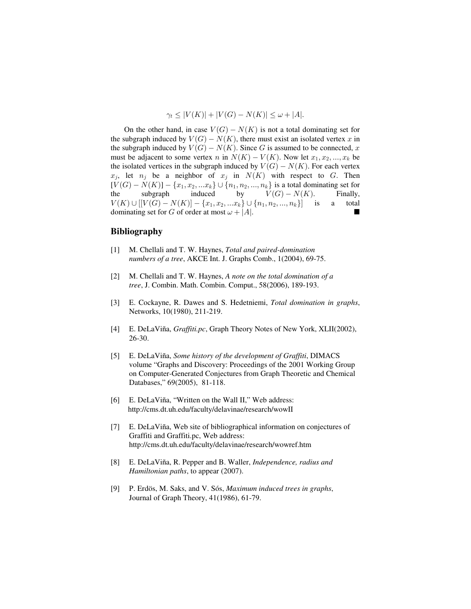$$
\gamma_t \le |V(K)| + |V(G) - N(K)| \le \omega + |A|.
$$

On the other hand, in case  $V(G) - N(K)$  is not a total dominating set for the subgraph induced by  $V(G) - N(K)$ , there must exist an isolated vertex x in the subgraph induced by  $V(G) - N(K)$ . Since G is assumed to be connected, x must be adjacent to some vertex n in  $N(K) - V(K)$ . Now let  $x_1, x_2, ..., x_k$  be the isolated vertices in the subgraph induced by  $V(G) - N(K)$ . For each vertex  $x_i$ , let  $n_i$  be a neighbor of  $x_i$  in  $N(K)$  with respect to G. Then  $[V(G) - N(K)] - \{x_1, x_2, ... x_k\} \cup \{n_1, n_2, ..., n_k\}$  is a total dominating set for the subgraph induced by  $V(G) - N(K)$ . Finally,  $V(K) \cup [[V(G) - N(K)] - \{x_1, x_2, ... x_k\} \cup \{n_1, n_2, ..., n_k\}]$  is a total dominating set for G of order at most  $\omega + |A|$ .

## **Bibliography**

- [1] M. Chellali and T. W. Haynes, *Total and paired-domination numbers of a tree*, AKCE Int. J. Graphs Comb., 1(2004), 69-75.
- [2] M. Chellali and T. W. Haynes, *A note on the total domination of a tree*, J. Combin. Math. Combin. Comput., 58(2006), 189-193.
- [3] E. Cockayne, R. Dawes and S. Hedetniemi, *Total domination in graphs*, Networks, 10(1980), 211-219.
- [4] E. DeLaViña, *Graffiti.pc*, Graph Theory Notes of New York, *XLII(2002)*, 26-30.
- [5] E. DeLaViña, *Some history of the development of Graffiti*, DIMACS volume "Graphs and Discovery: Proceedings of the 2001 Working Group on Computer-Generated Conjectures from Graph Theoretic and Chemical Databases," 69(2005), 81-118.
- [6] E. DeLaViña, "Written on the Wall II," Web address: http://cms.dt.uh.edu/faculty/delavinae/research/wowII
- [7] E. DeLaViña, Web site of bibliographical information on conjectures of Graffiti and Graffiti.pc, Web address: http://cms.dt.uh.edu/faculty/delavinae/research/wowref.htm
- [8] E. DeLaViña, R. Pepper and B. Waller, *Independence, radius and Hamiltonian paths*, to appear (2007).
- [9] P. Erdös, M. Saks, and V. Sós, *Maximum induced trees in graphs*, Journal of Graph Theory, 41(1986), 61-79.